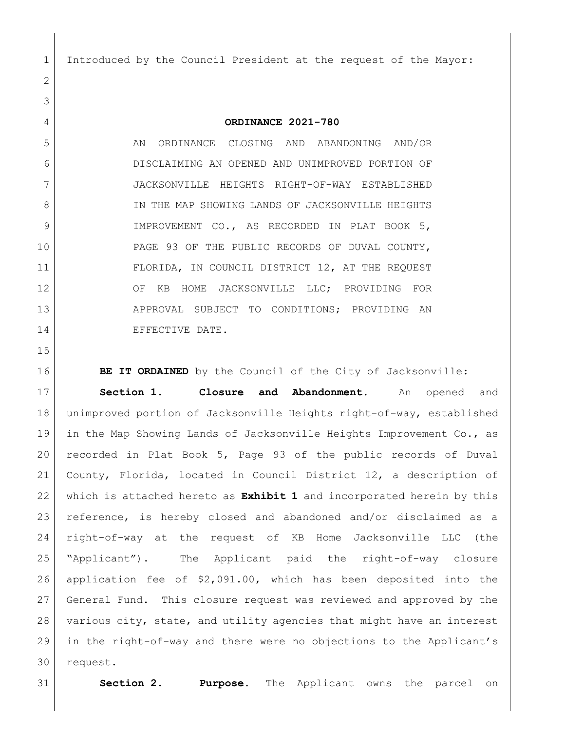Introduced by the Council President at the request of the Mayor:

## **ORDINANCE 2021-780**

 AN ORDINANCE CLOSING AND ABANDONING AND/OR DISCLAIMING AN OPENED AND UNIMPROVED PORTION OF JACKSONVILLE HEIGHTS RIGHT-OF-WAY ESTABLISHED 8 IN THE MAP SHOWING LANDS OF JACKSONVILLE HEIGHTS 9 IMPROVEMENT CO., AS RECORDED IN PLAT BOOK 5, PAGE 93 OF THE PUBLIC RECORDS OF DUVAL COUNTY, FLORIDA, IN COUNCIL DISTRICT 12, AT THE REQUEST 12 OF KB HOME JACKSONVILLE LLC; PROVIDING FOR 13 APPROVAL SUBJECT TO CONDITIONS; PROVIDING AN 14 EFFECTIVE DATE.

**BE IT ORDAINED** by the Council of the City of Jacksonville:

 **Section 1. Closure and Abandonment.** An opened and unimproved portion of Jacksonville Heights right-of-way, established 19 | in the Map Showing Lands of Jacksonville Heights Improvement Co., as recorded in Plat Book 5, Page 93 of the public records of Duval County, Florida, located in Council District 12, a description of which is attached hereto as **Exhibit 1** and incorporated herein by this reference, is hereby closed and abandoned and/or disclaimed as a right-of-way at the request of KB Home Jacksonville LLC (the "Applicant"). The Applicant paid the right-of-way closure application fee of \$2,091.00, which has been deposited into the General Fund. This closure request was reviewed and approved by the various city, state, and utility agencies that might have an interest in the right-of-way and there were no objections to the Applicant's request.

**Section 2. Purpose.** The Applicant owns the parcel on